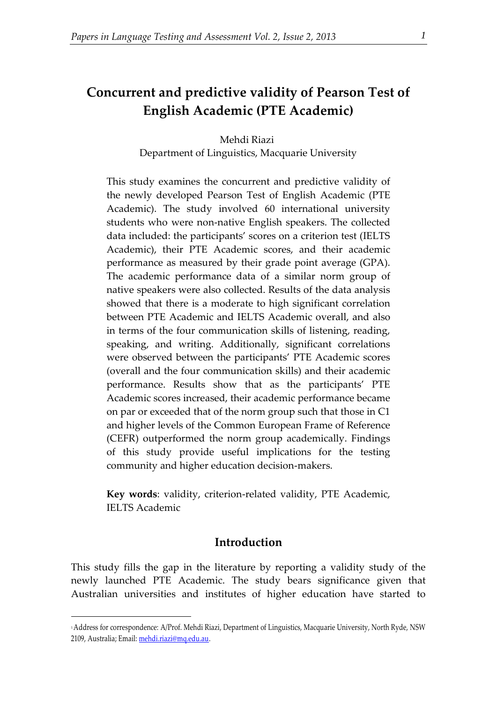## **Concurrent and predictive validity of Pearson Test of English Academic (PTE Academic)**

Mehdi Riazi Department of Linguistics, Macquarie University

This study examines the concurrent and predictive validity of the newly developed Pearson Test of English Academic (PTE Academic). The study involved 60 international university students who were non-native English speakers. The collected data included: the participants' scores on a criterion test (IELTS Academic), their PTE Academic scores, and their academic performance as measured by their grade point average (GPA). The academic performance data of a similar norm group of native speakers were also collected. Results of the data analysis showed that there is a moderate to high significant correlation between PTE Academic and IELTS Academic overall, and also in terms of the four communication skills of listening, reading, speaking, and writing. Additionally, significant correlations were observed between the participants' PTE Academic scores (overall and the four communication skills) and their academic performance. Results show that as the participants' PTE Academic scores increased, their academic performance became on par or exceeded that of the norm group such that those in C1 and higher levels of the Common European Frame of Reference (CEFR) outperformed the norm group academically. Findings of this study provide useful implications for the testing community and higher education decision-makers.

**Key words**: validity, criterion-related validity, PTE Academic, IELTS Academic

## **Introduction**

This study fills the gap in the literature by reporting a validity study of the newly launched PTE Academic. The study bears significance given that Australian universities and institutes of higher education have started to

1

<sup>1</sup>Address for correspondence: A/Prof. Mehdi Riazi, Department of Linguistics, Macquarie University, North Ryde, NSW 2109, Australia; Email: mehdi.riazi@mq.edu.au.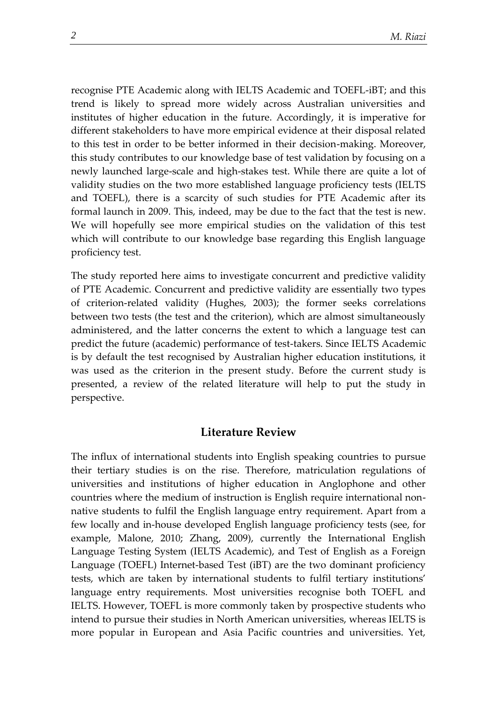recognise PTE Academic along with IELTS Academic and TOEFL-iBT; and this trend is likely to spread more widely across Australian universities and institutes of higher education in the future. Accordingly, it is imperative for different stakeholders to have more empirical evidence at their disposal related to this test in order to be better informed in their decision-making. Moreover, this study contributes to our knowledge base of test validation by focusing on a newly launched large-scale and high-stakes test. While there are quite a lot of validity studies on the two more established language proficiency tests (IELTS and TOEFL), there is a scarcity of such studies for PTE Academic after its formal launch in 2009. This, indeed, may be due to the fact that the test is new. We will hopefully see more empirical studies on the validation of this test which will contribute to our knowledge base regarding this English language proficiency test.

The study reported here aims to investigate concurrent and predictive validity of PTE Academic. Concurrent and predictive validity are essentially two types of criterion-related validity (Hughes, 2003); the former seeks correlations between two tests (the test and the criterion), which are almost simultaneously administered, and the latter concerns the extent to which a language test can predict the future (academic) performance of test-takers. Since IELTS Academic is by default the test recognised by Australian higher education institutions, it was used as the criterion in the present study. Before the current study is presented, a review of the related literature will help to put the study in perspective.

## **Literature Review**

The influx of international students into English speaking countries to pursue their tertiary studies is on the rise. Therefore, matriculation regulations of universities and institutions of higher education in Anglophone and other countries where the medium of instruction is English require international nonnative students to fulfil the English language entry requirement. Apart from a few locally and in-house developed English language proficiency tests (see, for example, Malone, 2010; Zhang, 2009), currently the International English Language Testing System (IELTS Academic), and Test of English as a Foreign Language (TOEFL) Internet-based Test (iBT) are the two dominant proficiency tests, which are taken by international students to fulfil tertiary institutions' language entry requirements. Most universities recognise both TOEFL and IELTS. However, TOEFL is more commonly taken by prospective students who intend to pursue their studies in North American universities, whereas IELTS is more popular in European and Asia Pacific countries and universities. Yet,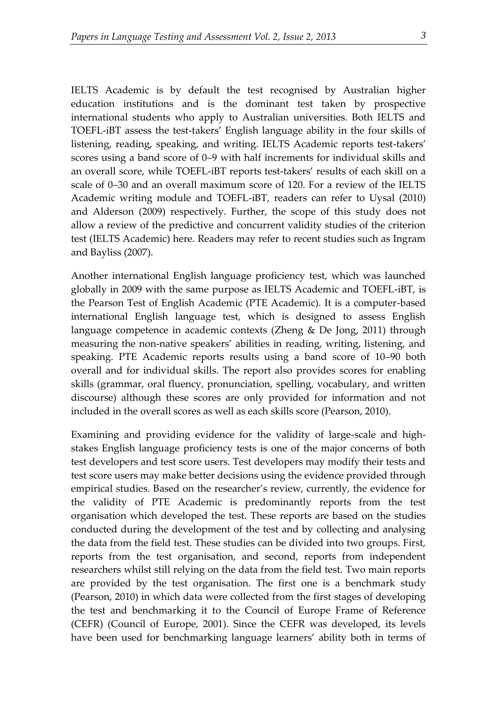IELTS Academic is by default the test recognised by Australian higher education institutions and is the dominant test taken by prospective international students who apply to Australian universities. Both IELTS and TOEFL-iBT assess the test-takers' English language ability in the four skills of listening, reading, speaking, and writing. IELTS Academic reports test-takers' scores using a band score of 0–9 with half increments for individual skills and an overall score, while TOEFL-iBT reports test-takers' results of each skill on a scale of 0–30 and an overall maximum score of 120. For a review of the IELTS Academic writing module and TOEFL-iBT, readers can refer to Uysal (2010) and Alderson (2009) respectively. Further, the scope of this study does not allow a review of the predictive and concurrent validity studies of the criterion test (IELTS Academic) here. Readers may refer to recent studies such as Ingram and Bayliss (2007).

Another international English language proficiency test, which was launched globally in 2009 with the same purpose as IELTS Academic and TOEFL-iBT, is the Pearson Test of English Academic (PTE Academic). It is a computer-based international English language test, which is designed to assess English language competence in academic contexts (Zheng & De Jong, 2011) through measuring the non-native speakers' abilities in reading, writing, listening, and speaking. PTE Academic reports results using a band score of 10–90 both overall and for individual skills. The report also provides scores for enabling skills (grammar, oral fluency, pronunciation, spelling, vocabulary, and written discourse) although these scores are only provided for information and not included in the overall scores as well as each skills score (Pearson, 2010).

Examining and providing evidence for the validity of large-scale and highstakes English language proficiency tests is one of the major concerns of both test developers and test score users. Test developers may modify their tests and test score users may make better decisions using the evidence provided through empirical studies. Based on the researcher's review, currently, the evidence for the validity of PTE Academic is predominantly reports from the test organisation which developed the test. These reports are based on the studies conducted during the development of the test and by collecting and analysing the data from the field test. These studies can be divided into two groups. First, reports from the test organisation, and second, reports from independent researchers whilst still relying on the data from the field test. Two main reports are provided by the test organisation. The first one is a benchmark study (Pearson, 2010) in which data were collected from the first stages of developing the test and benchmarking it to the Council of Europe Frame of Reference (CEFR) (Council of Europe, 2001). Since the CEFR was developed, its levels have been used for benchmarking language learners' ability both in terms of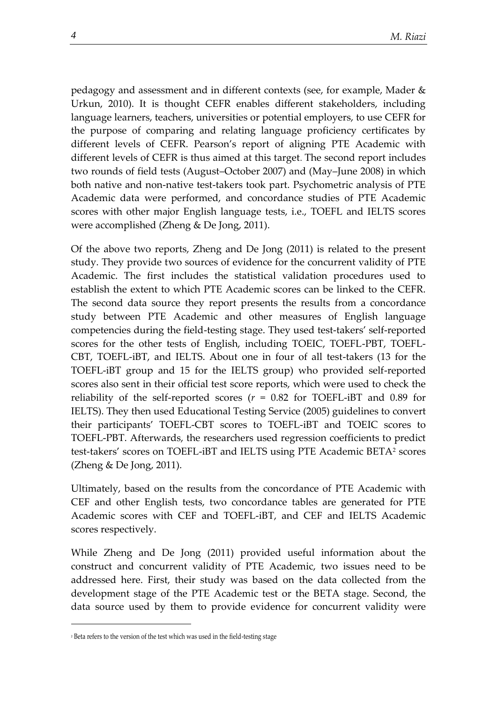pedagogy and assessment and in different contexts (see, for example, Mader & Urkun, 2010). It is thought CEFR enables different stakeholders, including language learners, teachers, universities or potential employers, to use CEFR for the purpose of comparing and relating language proficiency certificates by different levels of CEFR. Pearson's report of aligning PTE Academic with different levels of CEFR is thus aimed at this target. The second report includes two rounds of field tests (August–October 2007) and (May–June 2008) in which both native and non-native test-takers took part. Psychometric analysis of PTE Academic data were performed, and concordance studies of PTE Academic scores with other major English language tests, i.e., TOEFL and IELTS scores were accomplished (Zheng & De Jong, 2011).

Of the above two reports, Zheng and De Jong (2011) is related to the present study. They provide two sources of evidence for the concurrent validity of PTE Academic. The first includes the statistical validation procedures used to establish the extent to which PTE Academic scores can be linked to the CEFR. The second data source they report presents the results from a concordance study between PTE Academic and other measures of English language competencies during the field-testing stage. They used test-takers' self-reported scores for the other tests of English, including TOEIC, TOEFL-PBT, TOEFL-CBT, TOEFL-iBT, and IELTS. About one in four of all test-takers (13 for the TOEFL-iBT group and 15 for the IELTS group) who provided self-reported scores also sent in their official test score reports, which were used to check the reliability of the self-reported scores  $(r = 0.82$  for TOEFL-iBT and 0.89 for IELTS). They then used Educational Testing Service (2005) guidelines to convert their participants' TOEFL-CBT scores to TOEFL-iBT and TOEIC scores to TOEFL-PBT. Afterwards, the researchers used regression coefficients to predict test-takers' scores on TOEFL-iBT and IELTS using PTE Academic BETA<sup>2</sup> scores (Zheng & De Jong, 2011).

Ultimately, based on the results from the concordance of PTE Academic with CEF and other English tests, two concordance tables are generated for PTE Academic scores with CEF and TOEFL-iBT, and CEF and IELTS Academic scores respectively.

While Zheng and De Jong (2011) provided useful information about the construct and concurrent validity of PTE Academic, two issues need to be addressed here. First, their study was based on the data collected from the development stage of the PTE Academic test or the BETA stage. Second, the data source used by them to provide evidence for concurrent validity were

1

<sup>2</sup> Beta refers to the version of the test which was used in the field-testing stage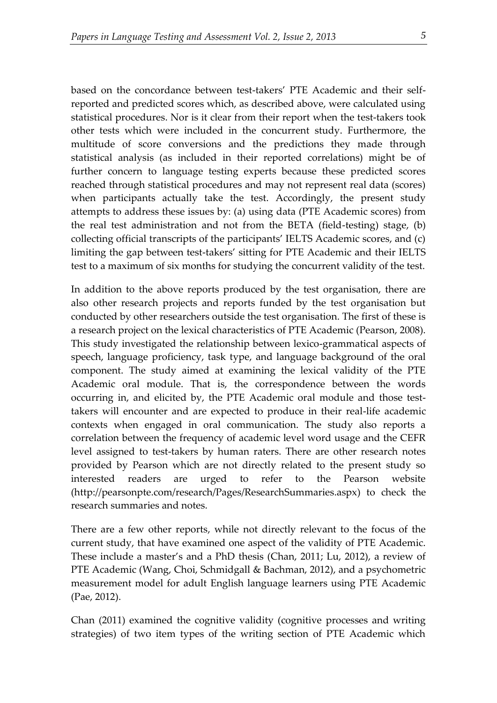based on the concordance between test-takers' PTE Academic and their selfreported and predicted scores which, as described above, were calculated using statistical procedures. Nor is it clear from their report when the test-takers took other tests which were included in the concurrent study. Furthermore, the multitude of score conversions and the predictions they made through statistical analysis (as included in their reported correlations) might be of further concern to language testing experts because these predicted scores reached through statistical procedures and may not represent real data (scores) when participants actually take the test. Accordingly, the present study attempts to address these issues by: (a) using data (PTE Academic scores) from the real test administration and not from the BETA (field-testing) stage, (b) collecting official transcripts of the participants' IELTS Academic scores, and (c) limiting the gap between test-takers' sitting for PTE Academic and their IELTS test to a maximum of six months for studying the concurrent validity of the test.

In addition to the above reports produced by the test organisation, there are also other research projects and reports funded by the test organisation but conducted by other researchers outside the test organisation. The first of these is a research project on the lexical characteristics of PTE Academic (Pearson, 2008). This study investigated the relationship between lexico-grammatical aspects of speech, language proficiency, task type, and language background of the oral component. The study aimed at examining the lexical validity of the PTE Academic oral module. That is, the correspondence between the words occurring in, and elicited by, the PTE Academic oral module and those testtakers will encounter and are expected to produce in their real-life academic contexts when engaged in oral communication. The study also reports a correlation between the frequency of academic level word usage and the CEFR level assigned to test-takers by human raters. There are other research notes provided by Pearson which are not directly related to the present study so interested readers are urged to refer to the Pearson website [\(http://pearsonpte.com/research/Pages/ResearchSummaries.aspx\)](http://pearsonpte.com/research/Pages/ResearchSummaries.aspx) to check the research summaries and notes.

There are a few other reports, while not directly relevant to the focus of the current study, that have examined one aspect of the validity of PTE Academic. These include a master's and a PhD thesis (Chan, 2011; Lu, 2012), a review of PTE Academic (Wang, Choi, Schmidgall & Bachman, 2012), and a psychometric measurement model for adult English language learners using PTE Academic (Pae, 2012).

Chan (2011) examined the cognitive validity (cognitive processes and writing strategies) of two item types of the writing section of PTE Academic which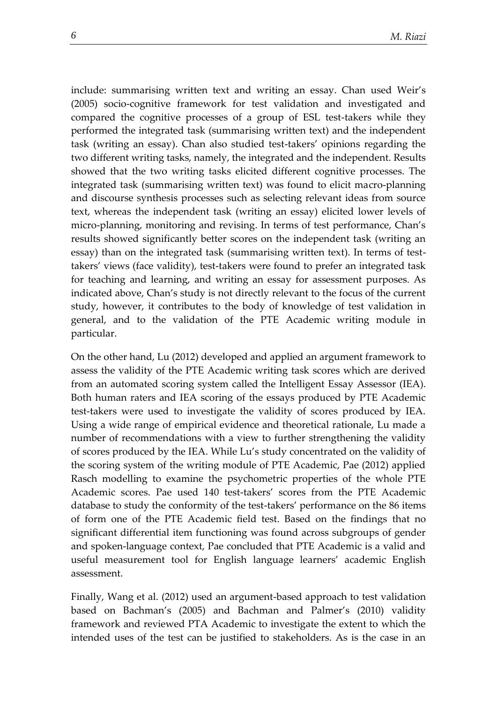include: summarising written text and writing an essay. Chan used Weir's (2005) socio-cognitive framework for test validation and investigated and compared the cognitive processes of a group of ESL test-takers while they performed the integrated task (summarising written text) and the independent task (writing an essay). Chan also studied test-takers' opinions regarding the two different writing tasks, namely, the integrated and the independent. Results showed that the two writing tasks elicited different cognitive processes. The integrated task (summarising written text) was found to elicit macro-planning and discourse synthesis processes such as selecting relevant ideas from source text, whereas the independent task (writing an essay) elicited lower levels of micro-planning, monitoring and revising. In terms of test performance, Chan's results showed significantly better scores on the independent task (writing an essay) than on the integrated task (summarising written text). In terms of testtakers' views (face validity), test-takers were found to prefer an integrated task for teaching and learning, and writing an essay for assessment purposes. As indicated above, Chan's study is not directly relevant to the focus of the current study, however, it contributes to the body of knowledge of test validation in general, and to the validation of the PTE Academic writing module in particular.

On the other hand, Lu (2012) developed and applied an argument framework to assess the validity of the PTE Academic writing task scores which are derived from an automated scoring system called the Intelligent Essay Assessor (IEA). Both human raters and IEA scoring of the essays produced by PTE Academic test-takers were used to investigate the validity of scores produced by IEA. Using a wide range of empirical evidence and theoretical rationale, Lu made a number of recommendations with a view to further strengthening the validity of scores produced by the IEA. While Lu's study concentrated on the validity of the scoring system of the writing module of PTE Academic, Pae (2012) applied Rasch modelling to examine the psychometric properties of the whole PTE Academic scores. Pae used 140 test-takers' scores from the PTE Academic database to study the conformity of the test-takers' performance on the 86 items of form one of the PTE Academic field test. Based on the findings that no significant differential item functioning was found across subgroups of gender and spoken-language context, Pae concluded that PTE Academic is a valid and useful measurement tool for English language learners' academic English assessment.

Finally, Wang et al. (2012) used an argument-based approach to test validation based on Bachman's (2005) and Bachman and Palmer's (2010) validity framework and reviewed PTA Academic to investigate the extent to which the intended uses of the test can be justified to stakeholders. As is the case in an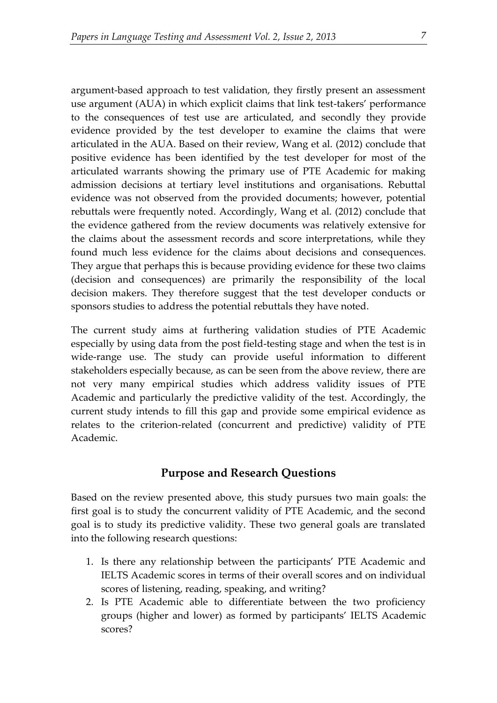argument-based approach to test validation, they firstly present an assessment use argument (AUA) in which explicit claims that link test-takers' performance to the consequences of test use are articulated, and secondly they provide evidence provided by the test developer to examine the claims that were articulated in the AUA. Based on their review, Wang et al. (2012) conclude that positive evidence has been identified by the test developer for most of the articulated warrants showing the primary use of PTE Academic for making admission decisions at tertiary level institutions and organisations. Rebuttal evidence was not observed from the provided documents; however, potential rebuttals were frequently noted. Accordingly, Wang et al. (2012) conclude that the evidence gathered from the review documents was relatively extensive for the claims about the assessment records and score interpretations, while they found much less evidence for the claims about decisions and consequences. They argue that perhaps this is because providing evidence for these two claims (decision and consequences) are primarily the responsibility of the local decision makers. They therefore suggest that the test developer conducts or sponsors studies to address the potential rebuttals they have noted.

The current study aims at furthering validation studies of PTE Academic especially by using data from the post field-testing stage and when the test is in wide-range use. The study can provide useful information to different stakeholders especially because, as can be seen from the above review, there are not very many empirical studies which address validity issues of PTE Academic and particularly the predictive validity of the test. Accordingly, the current study intends to fill this gap and provide some empirical evidence as relates to the criterion-related (concurrent and predictive) validity of PTE Academic.

## **Purpose and Research Questions**

Based on the review presented above, this study pursues two main goals: the first goal is to study the concurrent validity of PTE Academic, and the second goal is to study its predictive validity. These two general goals are translated into the following research questions:

- 1. Is there any relationship between the participants' PTE Academic and IELTS Academic scores in terms of their overall scores and on individual scores of listening, reading, speaking, and writing?
- 2. Is PTE Academic able to differentiate between the two proficiency groups (higher and lower) as formed by participants' IELTS Academic scores?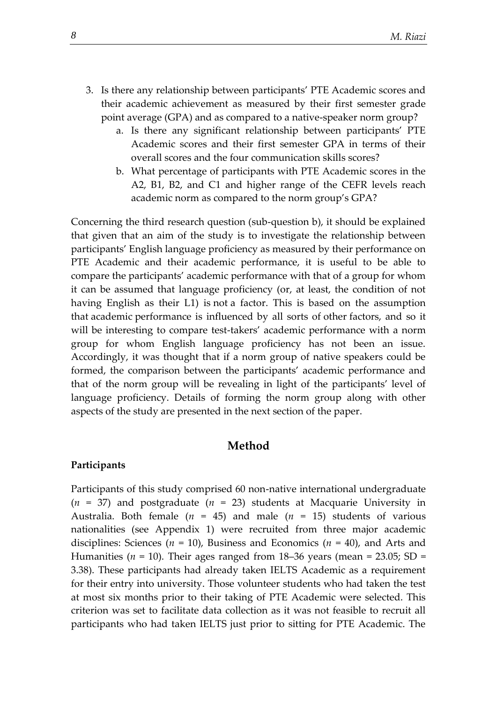- 3. Is there any relationship between participants' PTE Academic scores and their academic achievement as measured by their first semester grade point average (GPA) and as compared to a native-speaker norm group?
	- a. Is there any significant relationship between participants' PTE Academic scores and their first semester GPA in terms of their overall scores and the four communication skills scores?
	- b. What percentage of participants with PTE Academic scores in the A2, B1, B2, and C1 and higher range of the CEFR levels reach academic norm as compared to the norm group's GPA?

Concerning the third research question (sub-question b), it should be explained that given that an aim of the study is to investigate the relationship between participants' English language proficiency as measured by their performance on PTE Academic and their academic performance, it is useful to be able to compare the participants' academic performance with that of a group for whom it can be assumed that language proficiency (or, at least, the condition of not having English as their L1) is not a factor. This is based on the assumption that academic performance is influenced by all sorts of other factors, and so it will be interesting to compare test-takers' academic performance with a norm group for whom English language proficiency has not been an issue. Accordingly, it was thought that if a norm group of native speakers could be formed, the comparison between the participants' academic performance and that of the norm group will be revealing in light of the participants' level of language proficiency. Details of forming the norm group along with other aspects of the study are presented in the next section of the paper.

## **Method**

#### **Participants**

Participants of this study comprised 60 non-native international undergraduate  $(n = 37)$  and postgraduate  $(n = 23)$  students at Macquarie University in Australia. Both female  $(n = 45)$  and male  $(n = 15)$  students of various nationalities (see Appendix 1) were recruited from three major academic disciplines: Sciences (*n* = 10), Business and Economics (*n* = 40), and Arts and Humanities ( $n = 10$ ). Their ages ranged from 18–36 years (mean = 23.05; SD = 3.38). These participants had already taken IELTS Academic as a requirement for their entry into university. Those volunteer students who had taken the test at most six months prior to their taking of PTE Academic were selected. This criterion was set to facilitate data collection as it was not feasible to recruit all participants who had taken IELTS just prior to sitting for PTE Academic. The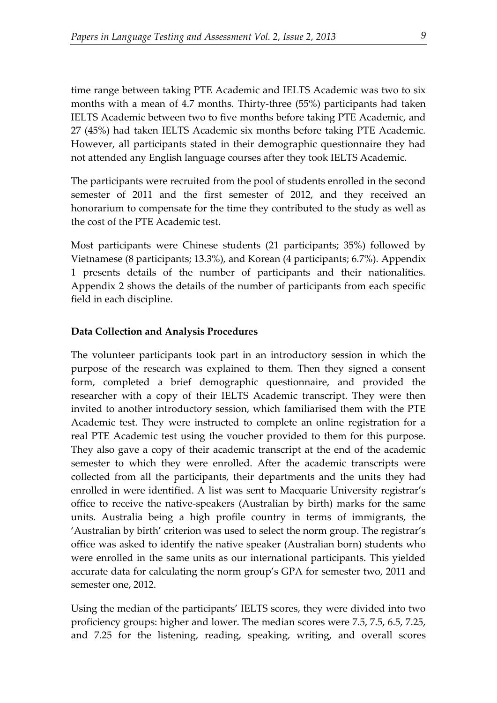time range between taking PTE Academic and IELTS Academic was two to six months with a mean of 4.7 months. Thirty-three (55%) participants had taken IELTS Academic between two to five months before taking PTE Academic, and 27 (45%) had taken IELTS Academic six months before taking PTE Academic. However, all participants stated in their demographic questionnaire they had not attended any English language courses after they took IELTS Academic.

The participants were recruited from the pool of students enrolled in the second semester of 2011 and the first semester of 2012, and they received an honorarium to compensate for the time they contributed to the study as well as the cost of the PTE Academic test.

Most participants were Chinese students (21 participants; 35%) followed by Vietnamese (8 participants; 13.3%), and Korean (4 participants; 6.7%). Appendix 1 presents details of the number of participants and their nationalities. Appendix 2 shows the details of the number of participants from each specific field in each discipline.

#### **Data Collection and Analysis Procedures**

The volunteer participants took part in an introductory session in which the purpose of the research was explained to them. Then they signed a consent form, completed a brief demographic questionnaire, and provided the researcher with a copy of their IELTS Academic transcript. They were then invited to another introductory session, which familiarised them with the PTE Academic test. They were instructed to complete an online registration for a real PTE Academic test using the voucher provided to them for this purpose. They also gave a copy of their academic transcript at the end of the academic semester to which they were enrolled. After the academic transcripts were collected from all the participants, their departments and the units they had enrolled in were identified. A list was sent to Macquarie University registrar's office to receive the native-speakers (Australian by birth) marks for the same units. Australia being a high profile country in terms of immigrants, the 'Australian by birth' criterion was used to select the norm group. The registrar's office was asked to identify the native speaker (Australian born) students who were enrolled in the same units as our international participants. This yielded accurate data for calculating the norm group's GPA for semester two, 2011 and semester one, 2012.

Using the median of the participants' IELTS scores, they were divided into two proficiency groups: higher and lower. The median scores were 7.5, 7.5, 6.5, 7.25, and 7.25 for the listening, reading, speaking, writing, and overall scores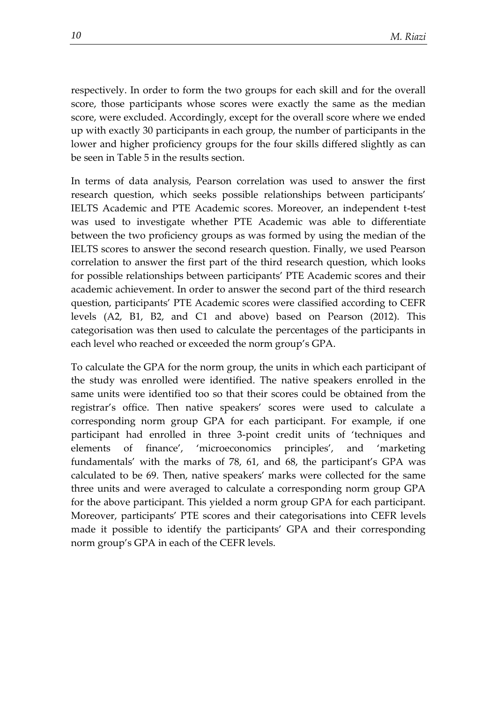respectively. In order to form the two groups for each skill and for the overall score, those participants whose scores were exactly the same as the median score, were excluded. Accordingly, except for the overall score where we ended up with exactly 30 participants in each group, the number of participants in the lower and higher proficiency groups for the four skills differed slightly as can be seen in Table 5 in the results section.

In terms of data analysis, Pearson correlation was used to answer the first research question, which seeks possible relationships between participants' IELTS Academic and PTE Academic scores. Moreover, an independent t-test was used to investigate whether PTE Academic was able to differentiate between the two proficiency groups as was formed by using the median of the IELTS scores to answer the second research question. Finally, we used Pearson correlation to answer the first part of the third research question, which looks for possible relationships between participants' PTE Academic scores and their academic achievement. In order to answer the second part of the third research question, participants' PTE Academic scores were classified according to CEFR levels (A2, B1, B2, and C1 and above) based on Pearson (2012). This categorisation was then used to calculate the percentages of the participants in each level who reached or exceeded the norm group's GPA.

To calculate the GPA for the norm group, the units in which each participant of the study was enrolled were identified. The native speakers enrolled in the same units were identified too so that their scores could be obtained from the registrar's office. Then native speakers' scores were used to calculate a corresponding norm group GPA for each participant. For example, if one participant had enrolled in three 3-point credit units of 'techniques and elements of finance', 'microeconomics principles', and 'marketing fundamentals' with the marks of 78, 61, and 68, the participant's GPA was calculated to be 69. Then, native speakers' marks were collected for the same three units and were averaged to calculate a corresponding norm group GPA for the above participant. This yielded a norm group GPA for each participant. Moreover, participants' PTE scores and their categorisations into CEFR levels made it possible to identify the participants' GPA and their corresponding norm group's GPA in each of the CEFR levels.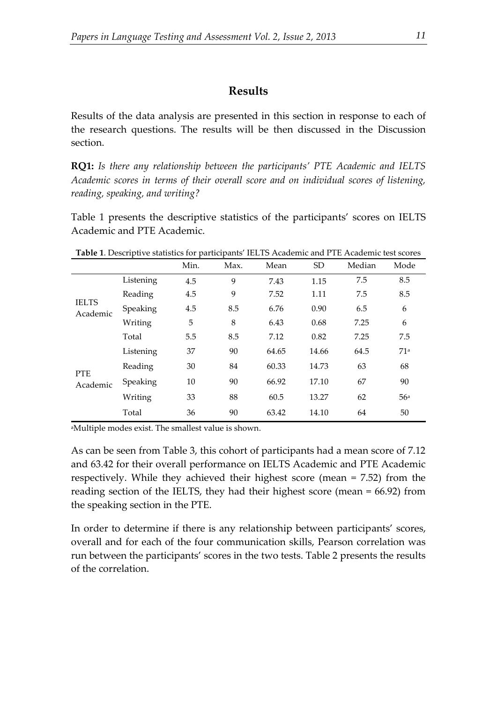## **Results**

Results of the data analysis are presented in this section in response to each of the research questions. The results will be then discussed in the Discussion section.

**RQ1:** *Is there any relationship between the participants' PTE Academic and IELTS Academic scores in terms of their overall score and on individual scores of listening, reading, speaking, and writing?* 

Table 1 presents the descriptive statistics of the participants' scores on IELTS Academic and PTE Academic.

|                          |           | Min. | Max. | Mean  | <b>SD</b> | Median | Mode |
|--------------------------|-----------|------|------|-------|-----------|--------|------|
|                          | Listening | 4.5  | 9    | 7.43  | 1.15      | 7.5    | 8.5  |
|                          | Reading   | 4.5  | 9    | 7.52  | 1.11      | 7.5    | 8.5  |
| <b>IELTS</b><br>Academic | Speaking  | 4.5  | 8.5  | 6.76  | 0.90      | 6.5    | 6    |
|                          | Writing   | 5    | 8    | 6.43  | 0.68      | 7.25   | 6    |
|                          | Total     | 5.5  | 8.5  | 7.12  | 0.82      | 7.25   | 7.5  |
|                          | Listening | 37   | 90   | 64.65 | 14.66     | 64.5   | 71a  |
| <b>PTE</b><br>Academic   | Reading   | 30   | 84   | 60.33 | 14.73     | 63     | 68   |
|                          | Speaking  | 10   | 90   | 66.92 | 17.10     | 67     | 90   |
|                          | Writing   | 33   | 88   | 60.5  | 13.27     | 62     | 56a  |
|                          | Total     | 36   | 90   | 63.42 | 14.10     | 64     | 50   |

**Table 1**. Descriptive statistics for participants' IELTS Academic and PTE Academic test scores

<sup>a</sup>Multiple modes exist. The smallest value is shown.

As can be seen from Table 3, this cohort of participants had a mean score of 7.12 and 63.42 for their overall performance on IELTS Academic and PTE Academic respectively. While they achieved their highest score (mean = 7.52) from the reading section of the IELTS, they had their highest score (mean = 66.92) from the speaking section in the PTE.

In order to determine if there is any relationship between participants' scores, overall and for each of the four communication skills, Pearson correlation was run between the participants' scores in the two tests. Table 2 presents the results of the correlation.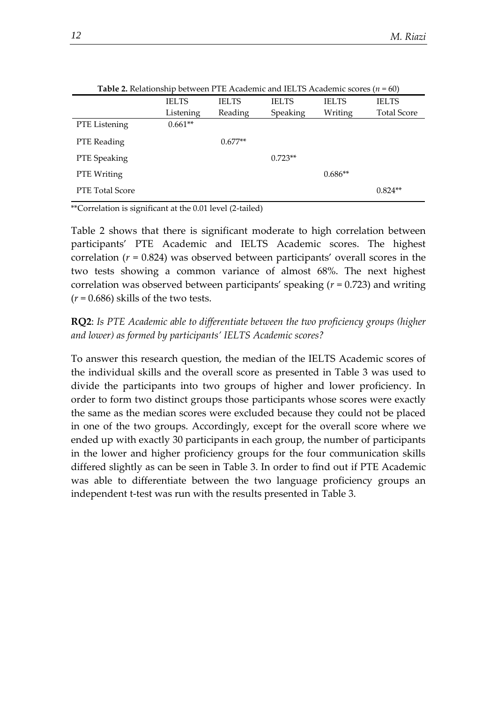|                        | <b>Table 2.</b> Relationship between PTE Academic and IELTS Academic scores $(n = 60)$ |              |              |              |                    |
|------------------------|----------------------------------------------------------------------------------------|--------------|--------------|--------------|--------------------|
|                        | <b>IELTS</b>                                                                           | <b>IELTS</b> | <b>IELTS</b> | <b>IELTS</b> | <b>IELTS</b>       |
|                        | Listening                                                                              | Reading      | Speaking     | Writing      | <b>Total Score</b> |
| PTE Listening          | $0.661**$                                                                              |              |              |              |                    |
| PTE Reading            |                                                                                        | $0.677**$    |              |              |                    |
| PTE Speaking           |                                                                                        |              | $0.723**$    |              |                    |
| PTE Writing            |                                                                                        |              |              | $0.686**$    |                    |
| <b>PTE Total Score</b> |                                                                                        |              |              |              | $0.824**$          |
|                        |                                                                                        |              |              |              |                    |

**Table 2.** Relationship between PTE Academic and IELTS Academic scores (*n* = 60)

\*\*Correlation is significant at the 0.01 level (2-tailed)

Table 2 shows that there is significant moderate to high correlation between participants' PTE Academic and IELTS Academic scores. The highest correlation (*r* = 0.824) was observed between participants' overall scores in the two tests showing a common variance of almost 68%. The next highest correlation was observed between participants' speaking (*r* = 0.723) and writing  $(r = 0.686)$  skills of the two tests.

**RQ2**: *Is PTE Academic able to differentiate between the two proficiency groups (higher and lower) as formed by participants' IELTS Academic scores?*

To answer this research question, the median of the IELTS Academic scores of the individual skills and the overall score as presented in Table 3 was used to divide the participants into two groups of higher and lower proficiency. In order to form two distinct groups those participants whose scores were exactly the same as the median scores were excluded because they could not be placed in one of the two groups. Accordingly, except for the overall score where we ended up with exactly 30 participants in each group, the number of participants in the lower and higher proficiency groups for the four communication skills differed slightly as can be seen in Table 3. In order to find out if PTE Academic was able to differentiate between the two language proficiency groups an independent t-test was run with the results presented in Table 3.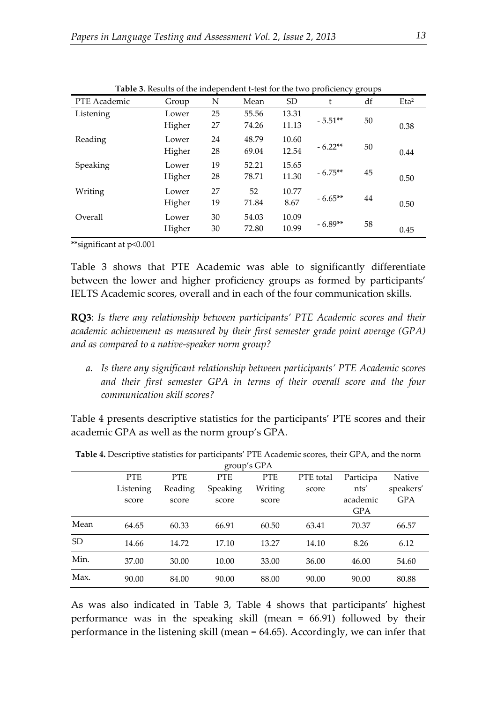|              |        |    |       |           |           | J O |                  |
|--------------|--------|----|-------|-----------|-----------|-----|------------------|
| PTE Academic | Group  | N  | Mean  | <b>SD</b> | t         | df  | Eta <sup>2</sup> |
| Listening    | Lower  | 25 | 55.56 | 13.31     |           |     |                  |
|              | Higher | 27 | 74.26 | 11.13     | $-5.51**$ | 50  | 0.38             |
| Reading      | Lower  | 24 | 48.79 | 10.60     |           |     |                  |
|              | Higher | 28 | 69.04 | 12.54     | $-6.22**$ | 50  | 0.44             |
| Speaking     | Lower  | 19 | 52.21 | 15.65     |           |     |                  |
|              | Higher | 28 | 78.71 | 11.30     | $-6.75**$ | 45  | 0.50             |
| Writing      | Lower  | 27 | 52    | 10.77     |           |     |                  |
|              | Higher | 19 | 71.84 | 8.67      | $-6.65**$ | 44  | 0.50             |
| Overall      | Lower  | 30 | 54.03 | 10.09     |           |     |                  |
|              | Higher | 30 | 72.80 | 10.99     | $-6.89**$ | 58  | 0.45             |

**Table 3**. Results of the independent t-test for the two proficiency groups

\*\*significant at p<0.001

Table 3 shows that PTE Academic was able to significantly differentiate between the lower and higher proficiency groups as formed by participants' IELTS Academic scores, overall and in each of the four communication skills.

**RQ3**: *Is there any relationship between participants' PTE Academic scores and their academic achievement as measured by their first semester grade point average (GPA) and as compared to a native-speaker norm group?*

*a. Is there any significant relationship between participants' PTE Academic scores and their first semester GPA in terms of their overall score and the four communication skill scores?*

Table 4 presents descriptive statistics for the participants' PTE scores and their academic GPA as well as the norm group's GPA.

| group's $GPA$ |            |            |            |            |           |            |            |
|---------------|------------|------------|------------|------------|-----------|------------|------------|
|               | <b>PTE</b> | <b>PTE</b> | <b>PTE</b> | <b>PTE</b> | PTE total | Participa  | Native     |
|               | Listening  | Reading    | Speaking   | Writing    | score     | nts'       | speakers'  |
|               | score      | score      | score      | score      |           | academic   | <b>GPA</b> |
|               |            |            |            |            |           | <b>GPA</b> |            |
| Mean          | 64.65      | 60.33      | 66.91      | 60.50      | 63.41     | 70.37      | 66.57      |
| <b>SD</b>     | 14.66      | 14.72      | 17.10      | 13.27      | 14.10     | 8.26       | 6.12       |
| Min.          | 37.00      | 30.00      | 10.00      | 33.00      | 36.00     | 46.00      | 54.60      |
| Max.          | 90.00      | 84.00      | 90.00      | 88.00      | 90.00     | 90.00      | 80.88      |

**Table 4.** Descriptive statistics for participants' PTE Academic scores, their GPA, and the norm

As was also indicated in Table 3, Table 4 shows that participants' highest performance was in the speaking skill (mean = 66.91) followed by their performance in the listening skill (mean = 64.65). Accordingly, we can infer that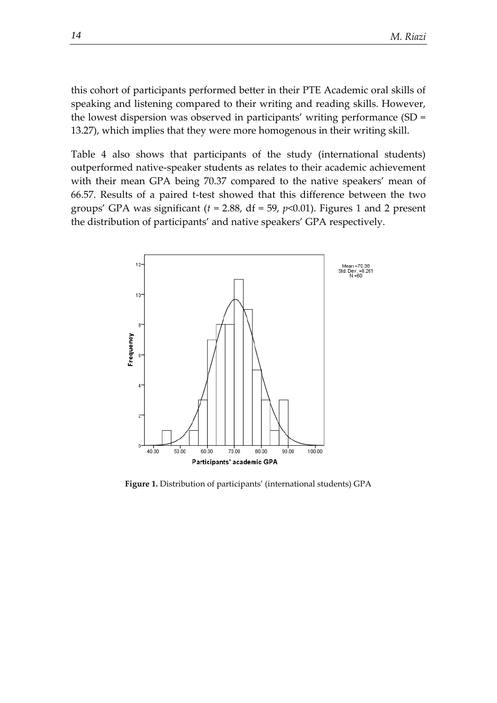this cohort of participants performed better in their PTE Academic oral skills of speaking and listening compared to their writing and reading skills. However, the lowest dispersion was observed in participants' writing performance (SD = 13.27), which implies that they were more homogenous in their writing skill.

Table 4 also shows that participants of the study (international students) outperformed native-speaker students as relates to their academic achievement with their mean GPA being 70.37 compared to the native speakers' mean of 66.57. Results of a paired t-test showed that this difference between the two groups' GPA was significant  $(t = 2.88, df = 59, p<0.01)$ . Figures 1 and 2 present the distribution of participants' and native speakers' GPA respectively.



**Figure 1.** Distribution of participants' (international students) GPA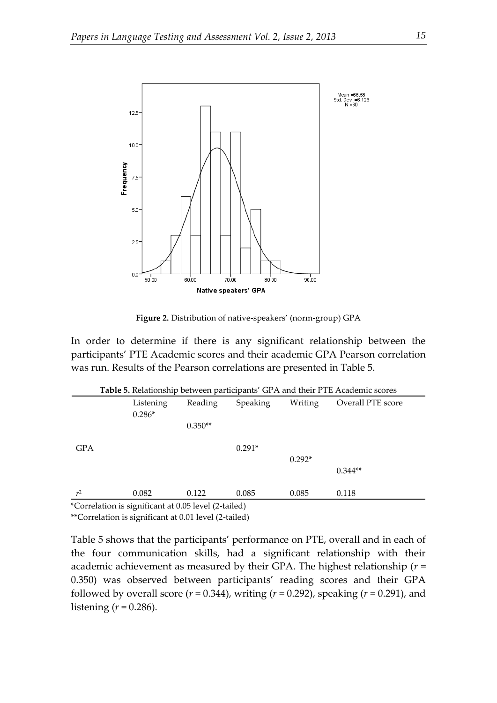

**Figure 2.** Distribution of native-speakers' (norm-group) GPA

In order to determine if there is any significant relationship between the participants' PTE Academic scores and their academic GPA Pearson correlation was run. Results of the Pearson correlations are presented in Table 5.

|                | Listening | Reading   | Speaking | Writing  | Overall PTE score |
|----------------|-----------|-----------|----------|----------|-------------------|
|                | $0.286*$  |           |          |          |                   |
|                |           | $0.350**$ |          |          |                   |
| <b>GPA</b>     |           |           | $0.291*$ |          |                   |
|                |           |           |          | $0.292*$ |                   |
|                |           |           |          |          | $0.344**$         |
|                |           |           |          |          |                   |
| r <sup>2</sup> | 0.082     | 0.122     | 0.085    | 0.085    | 0.118             |

**Table 5.** Relationship between participants' GPA and their PTE Academic scores

\*Correlation is significant at 0.05 level (2-tailed)

\*\*Correlation is significant at 0.01 level (2-tailed)

Table 5 shows that the participants' performance on PTE, overall and in each of the four communication skills, had a significant relationship with their academic achievement as measured by their GPA. The highest relationship (*r* = 0.350) was observed between participants' reading scores and their GPA followed by overall score (*r* = 0.344), writing (*r* = 0.292), speaking (*r* = 0.291), and listening  $(r = 0.286)$ .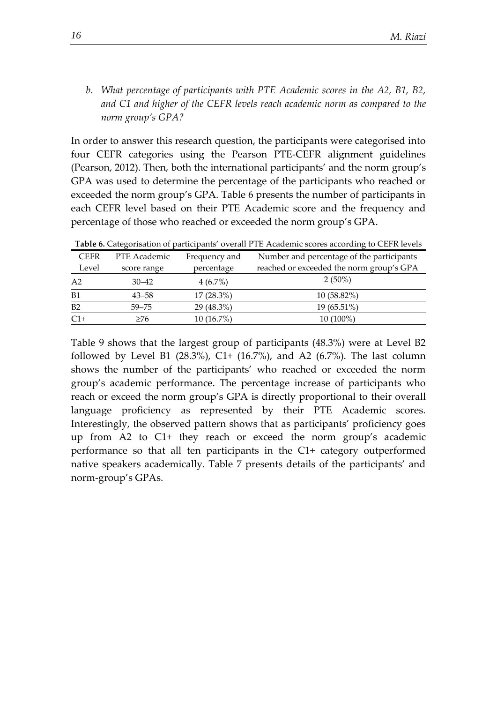*b. What percentage of participants with PTE Academic scores in the A2, B1, B2, and C1 and higher of the CEFR levels reach academic norm as compared to the norm group's GPA?*

In order to answer this research question, the participants were categorised into four CEFR categories using the Pearson PTE-CEFR alignment guidelines (Pearson, 2012). Then, both the international participants' and the norm group's GPA was used to determine the percentage of the participants who reached or exceeded the norm group's GPA. Table 6 presents the number of participants in each CEFR level based on their PTE Academic score and the frequency and percentage of those who reached or exceeded the norm group's GPA.

| <b>AND SUCH CARGE CONTRACT OF PARTICIPATION</b> OF CHAILT THE FRANCHING SCOTIGE ACCORDING TO CHIEF CLO |              |               |                                           |  |  |  |  |
|--------------------------------------------------------------------------------------------------------|--------------|---------------|-------------------------------------------|--|--|--|--|
| <b>CEFR</b>                                                                                            | PTE Academic | Frequency and | Number and percentage of the participants |  |  |  |  |
| Level                                                                                                  | score range  | percentage    | reached or exceeded the norm group's GPA  |  |  |  |  |
| A <sub>2</sub>                                                                                         | $30 - 42$    | $4(6.7\%)$    | $2(50\%)$                                 |  |  |  |  |
| B1                                                                                                     | $43 - 58$    | $17(28.3\%)$  | $10(58.82\%)$                             |  |  |  |  |
| B2                                                                                                     | $59 - 75$    | 29 (48.3%)    | 19 (65.51%)                               |  |  |  |  |
| $C1+$                                                                                                  | ≥76          | $10(16.7\%)$  | 10 (100%)                                 |  |  |  |  |

**Table 6.** Categorisation of participants' overall PTE Academic scores according to CEFR levels

Table 9 shows that the largest group of participants (48.3%) were at Level B2 followed by Level B1  $(28.3\%)$ , C1+  $(16.7\%)$ , and A2  $(6.7\%)$ . The last column shows the number of the participants' who reached or exceeded the norm group's academic performance. The percentage increase of participants who reach or exceed the norm group's GPA is directly proportional to their overall language proficiency as represented by their PTE Academic scores. Interestingly, the observed pattern shows that as participants' proficiency goes up from A2 to C1+ they reach or exceed the norm group's academic performance so that all ten participants in the C1+ category outperformed native speakers academically. Table 7 presents details of the participants' and norm-group's GPAs.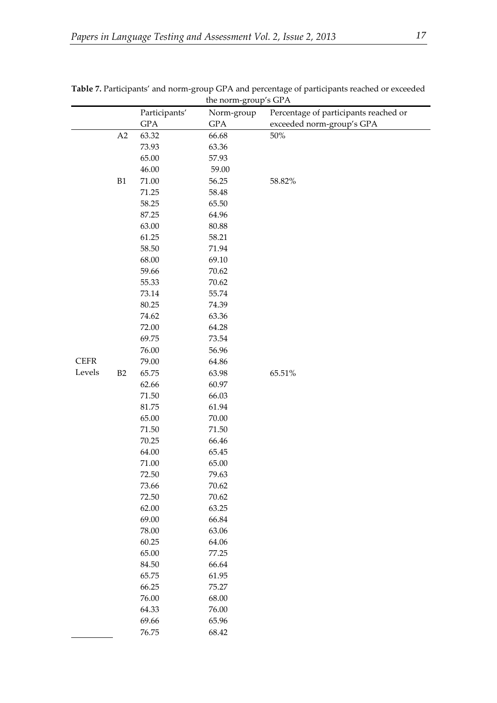|             |    | Participants'                                                                                            | Norm-group                                                                                               | Percentage of participants reached or |
|-------------|----|----------------------------------------------------------------------------------------------------------|----------------------------------------------------------------------------------------------------------|---------------------------------------|
|             |    | <b>GPA</b>                                                                                               | <b>GPA</b>                                                                                               | exceeded norm-group's GPA             |
|             | A2 | 63.32                                                                                                    | 66.68                                                                                                    | $50\%$                                |
|             |    | 73.93                                                                                                    | 63.36                                                                                                    |                                       |
|             |    | 65.00                                                                                                    | 57.93                                                                                                    |                                       |
|             |    | 46.00                                                                                                    | 59.00                                                                                                    |                                       |
|             | B1 | 71.00                                                                                                    | 56.25                                                                                                    | 58.82%                                |
|             |    | 71.25                                                                                                    | 58.48                                                                                                    |                                       |
|             |    | 58.25                                                                                                    | 65.50                                                                                                    |                                       |
|             |    | 87.25                                                                                                    | 64.96                                                                                                    |                                       |
|             |    | 63.00                                                                                                    | 80.88                                                                                                    |                                       |
|             |    | 61.25                                                                                                    | 58.21                                                                                                    |                                       |
|             |    | 58.50                                                                                                    | 71.94                                                                                                    |                                       |
|             |    | 68.00                                                                                                    | 69.10                                                                                                    |                                       |
|             |    | 59.66                                                                                                    | 70.62                                                                                                    |                                       |
|             |    | 55.33                                                                                                    | 70.62                                                                                                    |                                       |
|             |    | 73.14                                                                                                    | 55.74                                                                                                    |                                       |
|             |    | 80.25                                                                                                    | 74.39                                                                                                    |                                       |
|             |    | 74.62                                                                                                    | 63.36                                                                                                    |                                       |
|             |    | 72.00                                                                                                    | 64.28                                                                                                    |                                       |
|             |    | 69.75                                                                                                    | 73.54                                                                                                    |                                       |
|             |    | 76.00                                                                                                    | 56.96                                                                                                    |                                       |
| <b>CEFR</b> |    | 79.00                                                                                                    | 64.86                                                                                                    |                                       |
| Levels      | B2 | 65.75                                                                                                    | 63.98                                                                                                    | 65.51%                                |
|             |    | 62.66                                                                                                    | 60.97                                                                                                    |                                       |
|             |    | 71.50                                                                                                    | 66.03                                                                                                    |                                       |
|             |    | 81.75                                                                                                    | 61.94                                                                                                    |                                       |
|             |    | 65.00                                                                                                    | 70.00                                                                                                    |                                       |
|             |    | 71.50                                                                                                    | 71.50                                                                                                    |                                       |
|             |    | 70.25                                                                                                    | 66.46                                                                                                    |                                       |
|             |    | 64.00                                                                                                    | 65.45                                                                                                    |                                       |
|             |    | 71.00                                                                                                    | 65.00                                                                                                    |                                       |
|             |    | 72.50                                                                                                    | 79.63                                                                                                    |                                       |
|             |    | 73.66                                                                                                    | 70.62                                                                                                    |                                       |
|             |    | 72.50                                                                                                    | 70.62                                                                                                    |                                       |
|             |    |                                                                                                          |                                                                                                          |                                       |
|             |    |                                                                                                          |                                                                                                          |                                       |
|             |    |                                                                                                          |                                                                                                          |                                       |
|             |    |                                                                                                          |                                                                                                          |                                       |
|             |    |                                                                                                          |                                                                                                          |                                       |
|             |    |                                                                                                          |                                                                                                          |                                       |
|             |    |                                                                                                          |                                                                                                          |                                       |
|             |    |                                                                                                          |                                                                                                          |                                       |
|             |    |                                                                                                          |                                                                                                          |                                       |
|             |    |                                                                                                          |                                                                                                          |                                       |
|             |    |                                                                                                          |                                                                                                          |                                       |
|             |    |                                                                                                          |                                                                                                          |                                       |
|             |    | 62.00<br>69.00<br>78.00<br>60.25<br>65.00<br>84.50<br>65.75<br>66.25<br>76.00<br>64.33<br>69.66<br>76.75 | 63.25<br>66.84<br>63.06<br>64.06<br>77.25<br>66.64<br>61.95<br>75.27<br>68.00<br>76.00<br>65.96<br>68.42 |                                       |

|                                       | Table 7. Participants' and norm-group GPA and percentage of participants reached or exceeded |  |  |  |  |
|---------------------------------------|----------------------------------------------------------------------------------------------|--|--|--|--|
| the norm $\alpha$ roun's $CD \Lambda$ |                                                                                              |  |  |  |  |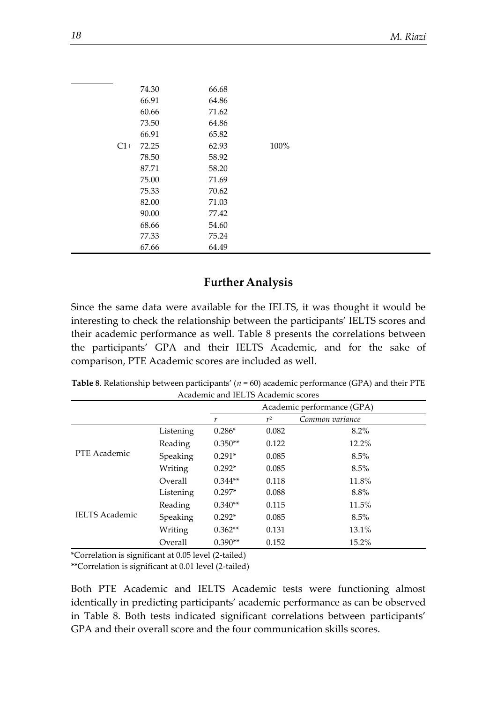|       | 74.30 | 66.68 |      |
|-------|-------|-------|------|
|       | 66.91 | 64.86 |      |
|       | 60.66 | 71.62 |      |
|       | 73.50 | 64.86 |      |
|       | 66.91 | 65.82 |      |
| $C1+$ | 72.25 | 62.93 | 100% |
|       | 78.50 | 58.92 |      |
|       | 87.71 | 58.20 |      |
|       | 75.00 | 71.69 |      |
|       | 75.33 | 70.62 |      |
|       | 82.00 | 71.03 |      |
|       | 90.00 | 77.42 |      |
|       | 68.66 | 54.60 |      |
|       | 77.33 | 75.24 |      |
|       | 67.66 | 64.49 |      |

## **Further Analysis**

Since the same data were available for the IELTS, it was thought it would be interesting to check the relationship between the participants' IELTS scores and their academic performance as well. Table 8 presents the correlations between the participants' GPA and their IELTS Academic, and for the sake of comparison, PTE Academic scores are included as well.

**Table 8**. Relationship between participants' (*n* = 60) academic performance (GPA) and their PTE Academic and IELTS Academic scores

|                       |           | Academic performance (GPA) |       |                 |  |
|-----------------------|-----------|----------------------------|-------|-----------------|--|
|                       |           | r                          | $r^2$ | Common variance |  |
|                       | Listening | $0.286*$                   | 0.082 | 8.2%            |  |
|                       | Reading   | $0.350**$                  | 0.122 | $12.2\%$        |  |
| PTE Academic          | Speaking  | $0.291*$                   | 0.085 | 8.5%            |  |
|                       | Writing   | $0.292*$                   | 0.085 | 8.5%            |  |
|                       | Overall   | $0.344**$                  | 0.118 | 11.8%           |  |
|                       | Listening | $0.297*$                   | 0.088 | 8.8%            |  |
|                       | Reading   | $0.340**$                  | 0.115 | 11.5%           |  |
| <b>IELTS</b> Academic | Speaking  | $0.292*$                   | 0.085 | 8.5%            |  |
|                       | Writing   | $0.362**$                  | 0.131 | 13.1%           |  |
|                       | Overall   | $0.390**$                  | 0.152 | 15.2%           |  |

\*Correlation is significant at 0.05 level (2-tailed)

\*\*Correlation is significant at 0.01 level (2-tailed)

Both PTE Academic and IELTS Academic tests were functioning almost identically in predicting participants' academic performance as can be observed in Table 8. Both tests indicated significant correlations between participants' GPA and their overall score and the four communication skills scores.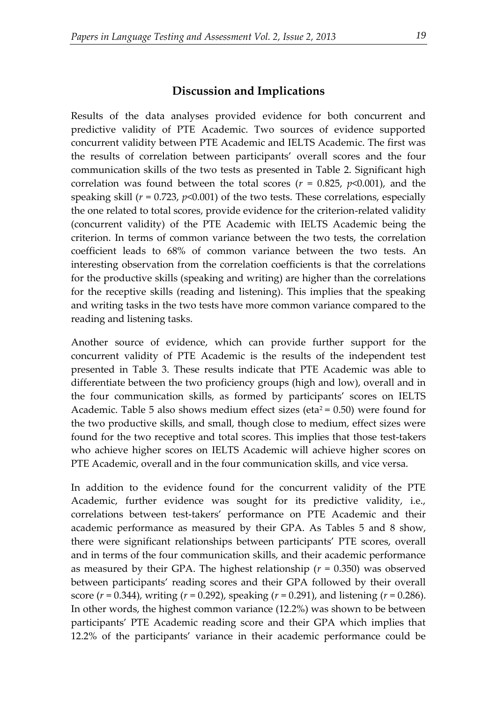#### **Discussion and Implications**

Results of the data analyses provided evidence for both concurrent and predictive validity of PTE Academic. Two sources of evidence supported concurrent validity between PTE Academic and IELTS Academic. The first was the results of correlation between participants' overall scores and the four communication skills of the two tests as presented in Table 2. Significant high correlation was found between the total scores ( $r = 0.825$ ,  $p \le 0.001$ ), and the speaking skill  $(r = 0.723, p<0.001)$  of the two tests. These correlations, especially the one related to total scores, provide evidence for the criterion-related validity (concurrent validity) of the PTE Academic with IELTS Academic being the criterion. In terms of common variance between the two tests, the correlation coefficient leads to 68% of common variance between the two tests. An interesting observation from the correlation coefficients is that the correlations for the productive skills (speaking and writing) are higher than the correlations for the receptive skills (reading and listening). This implies that the speaking and writing tasks in the two tests have more common variance compared to the reading and listening tasks.

Another source of evidence, which can provide further support for the concurrent validity of PTE Academic is the results of the independent test presented in Table 3. These results indicate that PTE Academic was able to differentiate between the two proficiency groups (high and low), overall and in the four communication skills, as formed by participants' scores on IELTS Academic. Table 5 also shows medium effect sizes (eta<sup>2</sup> = 0.50) were found for the two productive skills, and small, though close to medium, effect sizes were found for the two receptive and total scores. This implies that those test-takers who achieve higher scores on IELTS Academic will achieve higher scores on PTE Academic, overall and in the four communication skills, and vice versa.

In addition to the evidence found for the concurrent validity of the PTE Academic, further evidence was sought for its predictive validity, i.e., correlations between test-takers' performance on PTE Academic and their academic performance as measured by their GPA. As Tables 5 and 8 show, there were significant relationships between participants' PTE scores, overall and in terms of the four communication skills, and their academic performance as measured by their GPA. The highest relationship (*r* = 0.350) was observed between participants' reading scores and their GPA followed by their overall score (*r* = 0.344), writing (*r* = 0.292), speaking (*r* = 0.291), and listening (*r* = 0.286). In other words, the highest common variance (12.2%) was shown to be between participants' PTE Academic reading score and their GPA which implies that 12.2% of the participants' variance in their academic performance could be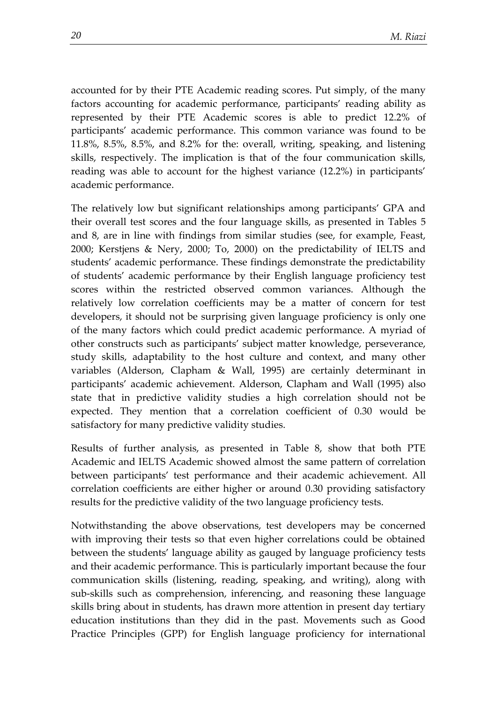accounted for by their PTE Academic reading scores. Put simply, of the many factors accounting for academic performance, participants' reading ability as represented by their PTE Academic scores is able to predict 12.2% of participants' academic performance. This common variance was found to be 11.8%, 8.5%, 8.5%, and 8.2% for the: overall, writing, speaking, and listening skills, respectively. The implication is that of the four communication skills, reading was able to account for the highest variance (12.2%) in participants' academic performance.

The relatively low but significant relationships among participants' GPA and their overall test scores and the four language skills, as presented in Tables 5 and 8, are in line with findings from similar studies (see, for example, Feast, 2000; Kerstjens & Nery, 2000; To, 2000) on the predictability of IELTS and students' academic performance. These findings demonstrate the predictability of students' academic performance by their English language proficiency test scores within the restricted observed common variances. Although the relatively low correlation coefficients may be a matter of concern for test developers, it should not be surprising given language proficiency is only one of the many factors which could predict academic performance. A myriad of other constructs such as participants' subject matter knowledge, perseverance, study skills, adaptability to the host culture and context, and many other variables (Alderson, Clapham & Wall, 1995) are certainly determinant in participants' academic achievement. Alderson, Clapham and Wall (1995) also state that in predictive validity studies a high correlation should not be expected. They mention that a correlation coefficient of 0.30 would be satisfactory for many predictive validity studies.

Results of further analysis, as presented in Table 8, show that both PTE Academic and IELTS Academic showed almost the same pattern of correlation between participants' test performance and their academic achievement. All correlation coefficients are either higher or around 0.30 providing satisfactory results for the predictive validity of the two language proficiency tests.

Notwithstanding the above observations, test developers may be concerned with improving their tests so that even higher correlations could be obtained between the students' language ability as gauged by language proficiency tests and their academic performance. This is particularly important because the four communication skills (listening, reading, speaking, and writing), along with sub-skills such as comprehension, inferencing, and reasoning these language skills bring about in students, has drawn more attention in present day tertiary education institutions than they did in the past. Movements such as Good Practice Principles (GPP) for English language proficiency for international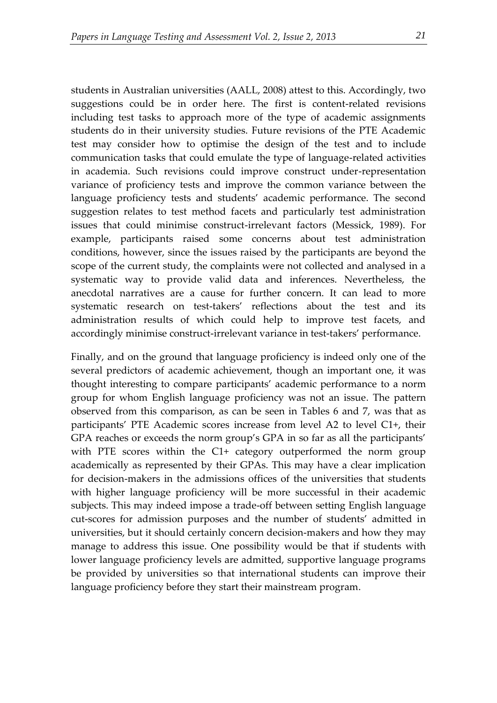students in Australian universities (AALL, 2008) attest to this. Accordingly, two suggestions could be in order here. The first is content-related revisions including test tasks to approach more of the type of academic assignments students do in their university studies. Future revisions of the PTE Academic test may consider how to optimise the design of the test and to include communication tasks that could emulate the type of language-related activities in academia. Such revisions could improve construct under-representation variance of proficiency tests and improve the common variance between the language proficiency tests and students' academic performance. The second suggestion relates to test method facets and particularly test administration issues that could minimise construct-irrelevant factors (Messick, 1989). For example, participants raised some concerns about test administration conditions, however, since the issues raised by the participants are beyond the scope of the current study, the complaints were not collected and analysed in a systematic way to provide valid data and inferences. Nevertheless, the anecdotal narratives are a cause for further concern. It can lead to more systematic research on test-takers' reflections about the test and its administration results of which could help to improve test facets, and accordingly minimise construct-irrelevant variance in test-takers' performance.

Finally, and on the ground that language proficiency is indeed only one of the several predictors of academic achievement, though an important one, it was thought interesting to compare participants' academic performance to a norm group for whom English language proficiency was not an issue. The pattern observed from this comparison, as can be seen in Tables 6 and 7, was that as participants' PTE Academic scores increase from level A2 to level C1+, their GPA reaches or exceeds the norm group's GPA in so far as all the participants' with PTE scores within the C1+ category outperformed the norm group academically as represented by their GPAs. This may have a clear implication for decision-makers in the admissions offices of the universities that students with higher language proficiency will be more successful in their academic subjects. This may indeed impose a trade-off between setting English language cut-scores for admission purposes and the number of students' admitted in universities, but it should certainly concern decision-makers and how they may manage to address this issue. One possibility would be that if students with lower language proficiency levels are admitted, supportive language programs be provided by universities so that international students can improve their language proficiency before they start their mainstream program.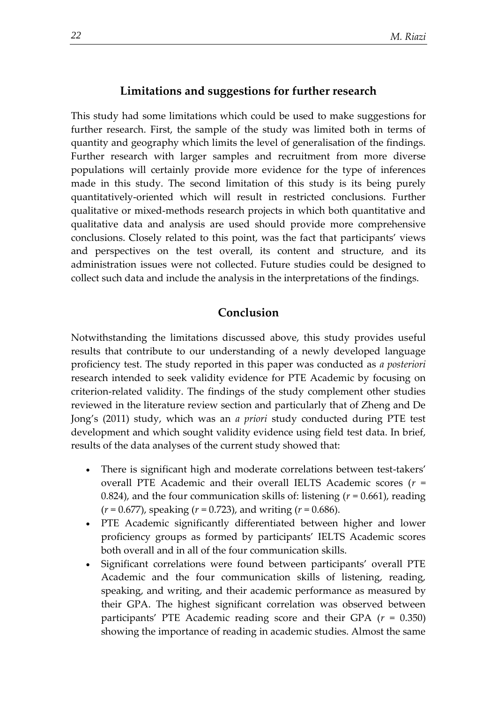#### **Limitations and suggestions for further research**

This study had some limitations which could be used to make suggestions for further research. First, the sample of the study was limited both in terms of quantity and geography which limits the level of generalisation of the findings. Further research with larger samples and recruitment from more diverse populations will certainly provide more evidence for the type of inferences made in this study. The second limitation of this study is its being purely quantitatively-oriented which will result in restricted conclusions. Further qualitative or mixed-methods research projects in which both quantitative and qualitative data and analysis are used should provide more comprehensive conclusions. Closely related to this point, was the fact that participants' views and perspectives on the test overall, its content and structure, and its administration issues were not collected. Future studies could be designed to collect such data and include the analysis in the interpretations of the findings.

## **Conclusion**

Notwithstanding the limitations discussed above, this study provides useful results that contribute to our understanding of a newly developed language proficiency test. The study reported in this paper was conducted as *a posteriori* research intended to seek validity evidence for PTE Academic by focusing on criterion-related validity. The findings of the study complement other studies reviewed in the literature review section and particularly that of Zheng and De Jong's (2011) study, which was an *a priori* study conducted during PTE test development and which sought validity evidence using field test data. In brief, results of the data analyses of the current study showed that:

- There is significant high and moderate correlations between test-takers' overall PTE Academic and their overall IELTS Academic scores (*r* = 0.824), and the four communication skills of: listening (*r* = 0.661), reading (*r* = 0.677), speaking (*r* = 0.723), and writing (*r* = 0.686).
- PTE Academic significantly differentiated between higher and lower proficiency groups as formed by participants' IELTS Academic scores both overall and in all of the four communication skills.
- Significant correlations were found between participants' overall PTE Academic and the four communication skills of listening, reading, speaking, and writing, and their academic performance as measured by their GPA. The highest significant correlation was observed between participants' PTE Academic reading score and their GPA (*r* = 0.350) showing the importance of reading in academic studies. Almost the same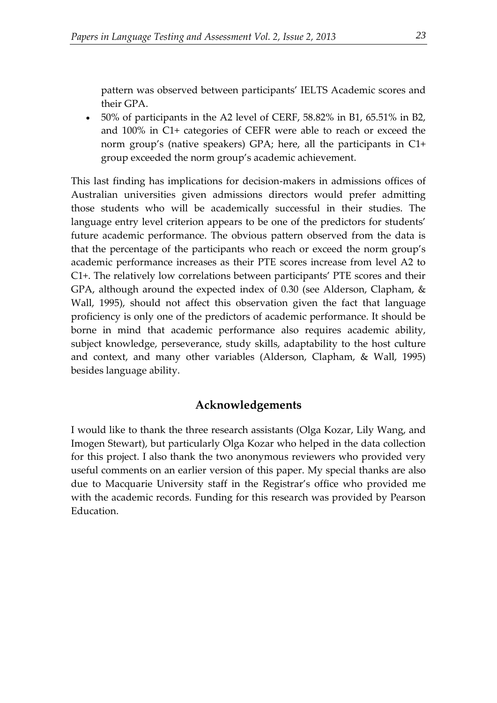pattern was observed between participants' IELTS Academic scores and their GPA.

 50% of participants in the A2 level of CERF, 58.82% in B1, 65.51% in B2, and 100% in C1+ categories of CEFR were able to reach or exceed the norm group's (native speakers) GPA; here, all the participants in C1+ group exceeded the norm group's academic achievement.

This last finding has implications for decision-makers in admissions offices of Australian universities given admissions directors would prefer admitting those students who will be academically successful in their studies. The language entry level criterion appears to be one of the predictors for students' future academic performance. The obvious pattern observed from the data is that the percentage of the participants who reach or exceed the norm group's academic performance increases as their PTE scores increase from level A2 to C1+. The relatively low correlations between participants' PTE scores and their GPA, although around the expected index of 0.30 (see Alderson, Clapham, & Wall, 1995), should not affect this observation given the fact that language proficiency is only one of the predictors of academic performance. It should be borne in mind that academic performance also requires academic ability, subject knowledge, perseverance, study skills, adaptability to the host culture and context, and many other variables (Alderson, Clapham, & Wall, 1995) besides language ability.

## **Acknowledgements**

I would like to thank the three research assistants (Olga Kozar, Lily Wang, and Imogen Stewart), but particularly Olga Kozar who helped in the data collection for this project. I also thank the two anonymous reviewers who provided very useful comments on an earlier version of this paper. My special thanks are also due to Macquarie University staff in the Registrar's office who provided me with the academic records. Funding for this research was provided by Pearson Education.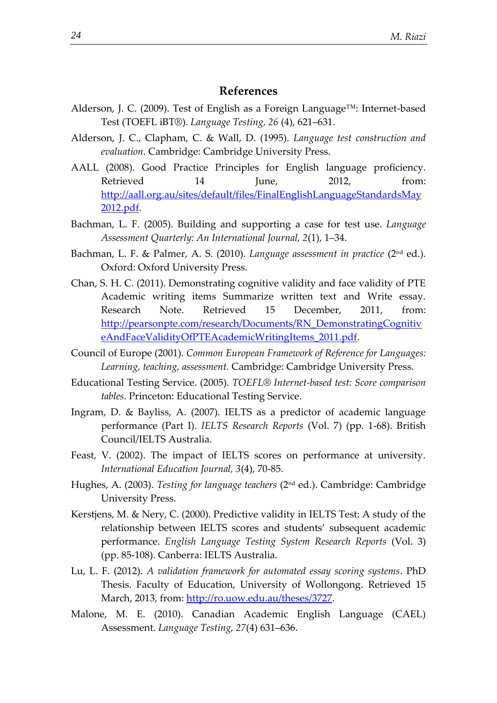## **References**

- Alderson, J. C. (2009). Test of English as a Foreign Language™: Internet-based Test (TOEFL iBT®). *Language Testing, 26* (4), 621–631.
- Alderson, J. C., Clapham, C. & Wall, D. (1995). *Language test construction and evaluation*. Cambridge: Cambridge University Press.
- AALL (2008). Good Practice Principles for English language proficiency. Retrieved 14 June, 2012, from: [http://aall.org.au/sites/default/files/FinalEnglishLanguageStandardsMay](http://aall.org.au/sites/default/files/FinalEnglishLanguageStandardsMay2012.pdf) [2012.pdf.](http://aall.org.au/sites/default/files/FinalEnglishLanguageStandardsMay2012.pdf)
- Bachman, L. F. (2005). Building and supporting a case for test use. *Language Assessment Quarterly: An International Journal, 2*(1), 1–34.
- Bachman, L. F. & Palmer, A. S. (2010). *Language assessment in practice* (2nd ed.). Oxford: Oxford University Press.
- Chan, S. H. C. (2011). Demonstrating cognitive validity and face validity of PTE Academic writing items Summarize written text and Write essay. Research Note. Retrieved 15 December, 2011, from: [http://pearsonpte.com/research/Documents/RN\\_DemonstratingCognitiv](http://pearsonpte.com/research/Documents/RN_DemonstratingCognitiveAndFaceValidityOfPTEAcademicWritingItems_2011.pdf) [eAndFaceValidityOfPTEAcademicWritingItems\\_2011.pdf.](http://pearsonpte.com/research/Documents/RN_DemonstratingCognitiveAndFaceValidityOfPTEAcademicWritingItems_2011.pdf)
- Council of Europe (2001). *Common European Framework of Reference for Languages: Learning, teaching, assessment.* Cambridge: Cambridge University Press.
- Educational Testing Service. (2005). *TOEFL® Internet-based test: Score comparison tables*. Princeton: Educational Testing Service.
- Ingram, D. & Bayliss, A. (2007). IELTS as a predictor of academic language performance (Part I). *IELTS Research Reports* (Vol. 7) (pp. 1-68). British Council/IELTS Australia.
- Feast, V. (2002). The impact of IELTS scores on performance at university. *International Education Journal, 3*(4), 70-85.
- Hughes, A. (2003). *Testing for language teachers* (2nd ed.). Cambridge: Cambridge University Press.
- Kerstjens, M. & Nery, C. (2000). Predictive validity in IELTS Test: A study of the relationship between IELTS scores and students' subsequent academic performance. *English Language Testing System Research Reports* (Vol. 3) (pp. 85-108). Canberra: IELTS Australia.
- Lu, L. F. (2012). *A validation framework for automated essay scoring systems*. PhD Thesis. Faculty of Education, University of Wollongong. Retrieved 15 March, 2013, from: [http://ro.uow.edu.au/theses/3727.](http://ro.uow.edu.au/theses/3727)
- Malone, M. E. (2010). Canadian Academic English Language (CAEL) Assessment. *Language Testing, 27*(4) 631–636.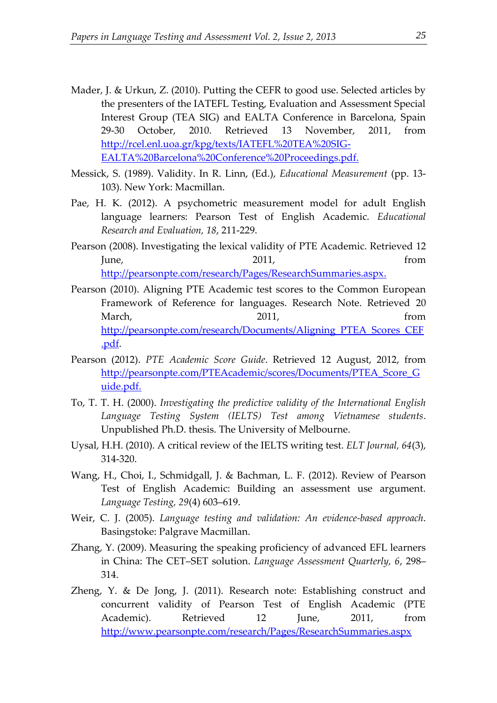- Mader, J. & Urkun, Z. (2010). Putting the CEFR to good use. Selected articles by the presenters of the IATEFL Testing, Evaluation and Assessment Special Interest Group (TEA SIG) and EALTA Conference in Barcelona, Spain 29‐30 October, 2010. Retrieved 13 November, 2011, from [http://rcel.enl.uoa.gr/kpg/texts/IATEFL%20TEA%20SIG-](http://rcel.enl.uoa.gr/kpg/texts/IATEFL%20TEA%20SIG-EALTA%20Barcelona%20Conference%20Proceedings.pdf)[EALTA%20Barcelona%20Conference%20Proceedings.pdf.](http://rcel.enl.uoa.gr/kpg/texts/IATEFL%20TEA%20SIG-EALTA%20Barcelona%20Conference%20Proceedings.pdf)
- Messick, S. (1989). Validity. In R. Linn, (Ed.), *Educational Measurement* (pp. 13- 103). New York: Macmillan.
- Pae, H. K. (2012). A psychometric measurement model for adult English language learners: Pearson Test of English Academic. *Educational Research and Evaluation, 18*, 211-229.
- Pearson (2008). Investigating the lexical validity of PTE Academic. Retrieved 12 June, 2011, from [http://pearsonpte.com/research/Pages/ResearchSummaries.aspx.](http://pearsonpte.com/research/Pages/ResearchSummaries.aspx)
- Pearson (2010). Aligning PTE Academic test scores to the Common European Framework of Reference for languages. Research Note. Retrieved 20 March, the contract of the 2011, the contract of the from the contract of the contract of the contract of the contract of the contract of the contract of the contract of the contract of the contract of the contract of the [http://pearsonpte.com/research/Documents/Aligning\\_PTEA\\_Scores\\_CEF](http://pearsonpte.com/research/Documents/Aligning_PTEA_Scores_CEF.pdf) [.pdf.](http://pearsonpte.com/research/Documents/Aligning_PTEA_Scores_CEF.pdf)
- Pearson (2012). *PTE Academic Score Guide*. Retrieved 12 August, 2012, from [http://pearsonpte.com/PTEAcademic/scores/Documents/PTEA\\_Score\\_G](http://pearsonpte.com/PTEAcademic/scores/Documents/PTEA_Score_Guide.pdf) [uide.pdf.](http://pearsonpte.com/PTEAcademic/scores/Documents/PTEA_Score_Guide.pdf)
- To, T. T. H. (2000). *Investigating the predictive validity of the International English Language Testing System (IELTS) Test among Vietnamese students*. Unpublished Ph.D. thesis. The University of Melbourne.
- Uysal, H.H. (2010). A critical review of the IELTS writing test. *ELT Journal, 64*(3), 314-320.
- Wang, H., Choi, I., Schmidgall, J. & Bachman, L. F. (2012). Review of Pearson Test of English Academic: Building an assessment use argument. *Language Testing, 29*(4) 603–619.
- Weir, C. J. (2005). *Language testing and validation: An evidence-based approach*. Basingstoke: Palgrave Macmillan.
- Zhang, Y. (2009). Measuring the speaking proficiency of advanced EFL learners in China: The CET–SET solution. *Language Assessment Quarterly, 6*, 298– 314.
- Zheng, Y. & De Jong, J. (2011). Research note: Establishing construct and concurrent validity of Pearson Test of English Academic (PTE Academic). Retrieved 12 Iune, 2011, from <http://www.pearsonpte.com/research/Pages/ResearchSummaries.aspx>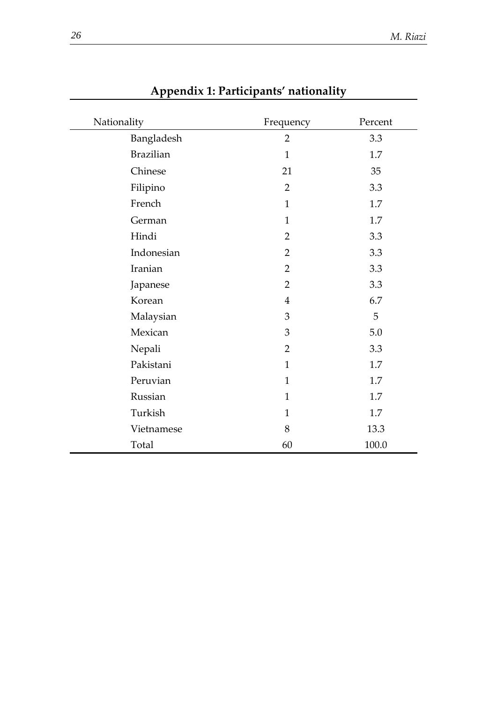| Nationality      | Frequency      | Percent |
|------------------|----------------|---------|
| Bangladesh       | $\overline{2}$ | 3.3     |
| <b>Brazilian</b> | $\mathbf{1}$   | 1.7     |
| Chinese          | 21             | 35      |
| Filipino         | $\overline{2}$ | 3.3     |
| French           | $\mathbf{1}$   | 1.7     |
| German           | $\mathbf{1}$   | 1.7     |
| Hindi            | $\overline{2}$ | 3.3     |
| Indonesian       | $\overline{2}$ | 3.3     |
| Iranian          | $\overline{2}$ | 3.3     |
| Japanese         | $\overline{2}$ | 3.3     |
| Korean           | $\overline{4}$ | 6.7     |
| Malaysian        | 3              | 5       |
| Mexican          | 3              | 5.0     |
| Nepali           | $\overline{2}$ | 3.3     |
| Pakistani        | $\mathbf{1}$   | 1.7     |
| Peruvian         | $\mathbf{1}$   | 1.7     |
| Russian          | $\mathbf{1}$   | 1.7     |
| Turkish          | $\mathbf{1}$   | 1.7     |
| Vietnamese       | 8              | 13.3    |
| Total            | 60             | 100.0   |

## **Appendix 1: Participants' nationality**